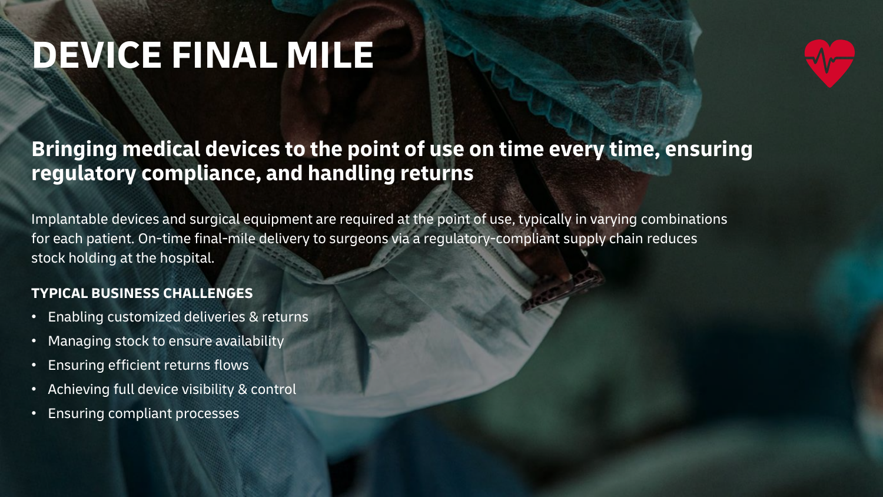# **DEVICE FINAL MILE**



## **Bringing medical devices to the point of use on time every time, ensuring regulatory compliance, and handling returns**

Implantable devices and surgical equipment are required at the point of use, typically in varying combinations for each patient. On-time final-mile delivery to surgeons via a regulatory-compliant supply chain reduces stock holding at the hospital.

### **TYPICAL BUSINESS CHALLENGES**

- Enabling customized deliveries & returns
- Managing stock to ensure availability
- Ensuring efficient returns flows
- Achieving full device visibility & control
- Ensuring compliant processes